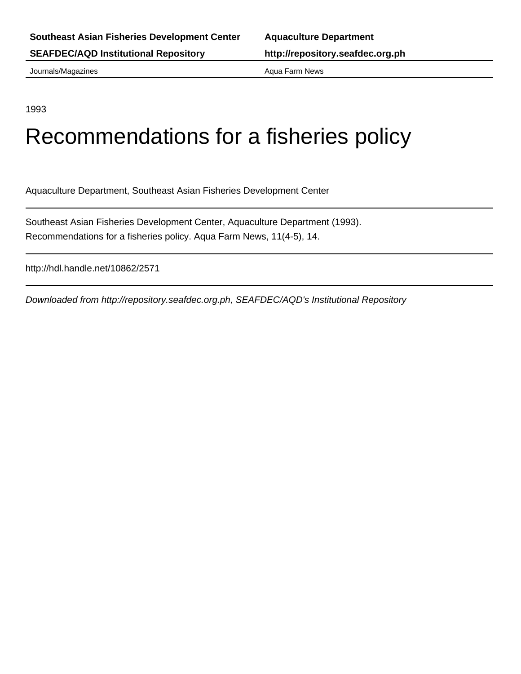Journals/Magazines **Aqua Farm News** Aqua Farm News

1993

## Recommendations for a fisheries policy

Aquaculture Department, Southeast Asian Fisheries Development Center

Southeast Asian Fisheries Development Center, Aquaculture Department (1993). Recommendations for a fisheries policy. Aqua Farm News, 11(4-5), 14.

http://hdl.handle.net/10862/2571

Downloaded from http://repository.seafdec.org.ph, SEAFDEC/AQD's Institutional Repository